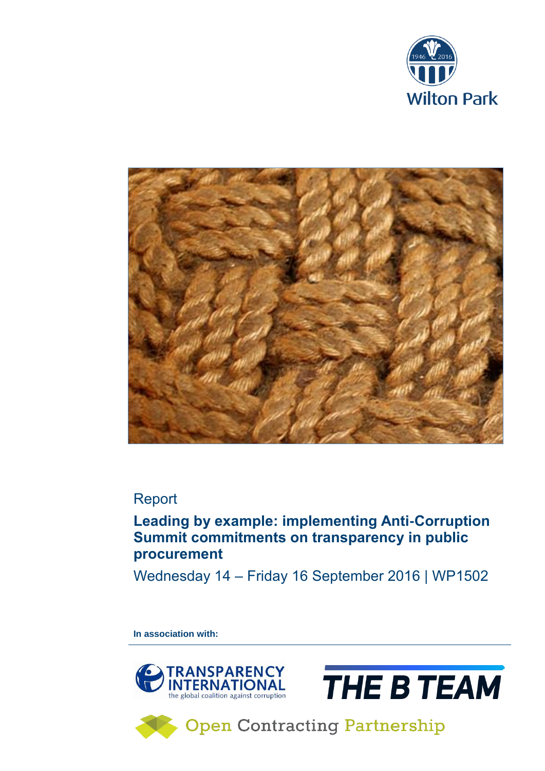



## Report

## **Leading by example: implementing Anti-Corruption Summit commitments on transparency in public procurement**

Wednesday 14 – Friday 16 September 2016 | WP1502

**In association with:** 





**Open Contracting Partnership**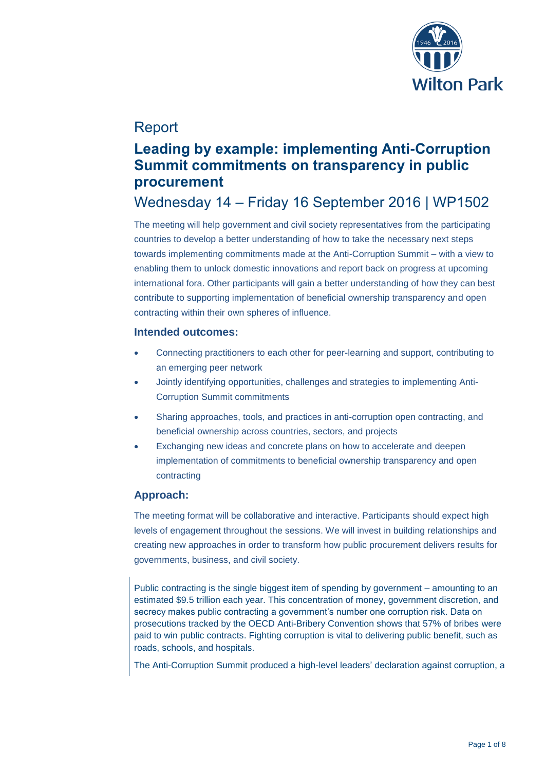

## Report

## **Leading by example: implementing Anti-Corruption Summit commitments on transparency in public procurement**

# Wednesday 14 – Friday 16 September 2016 | WP1502

The meeting will help government and civil society representatives from the participating countries to develop a better understanding of how to take the necessary next steps towards implementing commitments made at the Anti-Corruption Summit – with a view to enabling them to unlock domestic innovations and report back on progress at upcoming international fora. Other participants will gain a better understanding of how they can best contribute to supporting implementation of beneficial ownership transparency and open contracting within their own spheres of influence.

### **Intended outcomes:**

- Connecting practitioners to each other for peer-learning and support, contributing to an emerging peer network
- Jointly identifying opportunities, challenges and strategies to implementing Anti-Corruption Summit commitments
- Sharing approaches, tools, and practices in anti-corruption open contracting, and beneficial ownership across countries, sectors, and projects
- Exchanging new ideas and concrete plans on how to accelerate and deepen implementation of commitments to beneficial ownership transparency and open contracting

### **Approach:**

The meeting format will be collaborative and interactive. Participants should expect high levels of engagement throughout the sessions. We will invest in building relationships and creating new approaches in order to transform how public procurement delivers results for governments, business, and civil society.

Public contracting is the single biggest item of spending by government – amounting to an estimated \$9.5 trillion each year. This concentration of money, government discretion, and secrecy makes public contracting a government's number one corruption risk. Data on prosecutions tracked by the OECD Anti-Bribery Convention shows that 57% of bribes were paid to win public contracts. Fighting corruption is vital to delivering public benefit, such as roads, schools, and hospitals.

The Anti-Corruption Summit produced a high-level leaders' declaration against corruption, a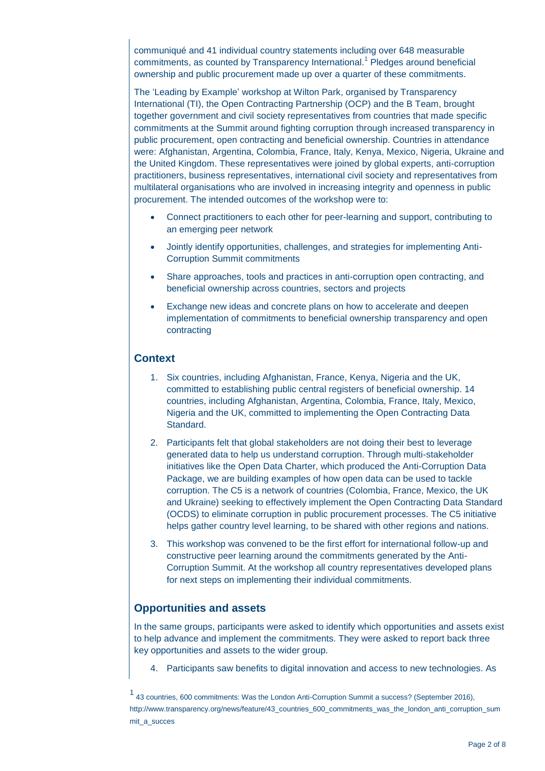communiqué and 41 individual country statements including over 648 measurable commitments, as counted by Transparency International.<sup>1</sup> Pledges around beneficial ownership and public procurement made up over a quarter of these commitments.

The 'Leading by Example' workshop at Wilton Park, organised by Transparency International (TI), the Open Contracting Partnership (OCP) and the B Team, brought together government and civil society representatives from countries that made specific commitments at the Summit around fighting corruption through increased transparency in public procurement, open contracting and beneficial ownership. Countries in attendance were: Afghanistan, Argentina, Colombia, France, Italy, Kenya, Mexico, Nigeria, Ukraine and the United Kingdom. These representatives were joined by global experts, anti-corruption practitioners, business representatives, international civil society and representatives from multilateral organisations who are involved in increasing integrity and openness in public procurement. The intended outcomes of the workshop were to:

- Connect practitioners to each other for peer-learning and support, contributing to an emerging peer network
- Jointly identify opportunities, challenges, and strategies for implementing Anti-Corruption Summit commitments
- Share approaches, tools and practices in anti-corruption open contracting, and beneficial ownership across countries, sectors and projects
- Exchange new ideas and concrete plans on how to accelerate and deepen implementation of commitments to beneficial ownership transparency and open contracting

#### **Context**

- 1. Six countries, including Afghanistan, France, Kenya, Nigeria and the UK, committed to establishing public central registers of beneficial ownership. 14 countries, including Afghanistan, Argentina, Colombia, France, Italy, Mexico, Nigeria and the UK, committed to implementing the Open Contracting Data Standard.
- 2. Participants felt that global stakeholders are not doing their best to leverage generated data to help us understand corruption. Through multi-stakeholder initiatives like the Open Data Charter, which produced the Anti-Corruption Data Package, we are building examples of how open data can be used to tackle corruption. The C5 is a network of countries (Colombia, France, Mexico, the UK and Ukraine) seeking to effectively implement the Open Contracting Data Standard (OCDS) to eliminate corruption in public procurement processes. The C5 initiative helps gather country level learning, to be shared with other regions and nations.
- 3. This workshop was convened to be the first effort for international follow-up and constructive peer learning around the commitments generated by the Anti-Corruption Summit. At the workshop all country representatives developed plans for next steps on implementing their individual commitments.

#### **Opportunities and assets**

In the same groups, participants were asked to identify which opportunities and assets exist to help advance and implement the commitments. They were asked to report back three key opportunities and assets to the wider group.

4. Participants saw benefits to digital innovation and access to new technologies. As

<sup>1</sup> 43 countries, 600 commitments: Was the London Anti-Corruption Summit a success? (September 2016), http://www.transparency.org/news/feature/43\_countries\_600\_commitments\_was\_the\_london\_anti\_corruption\_sum mit\_a\_succes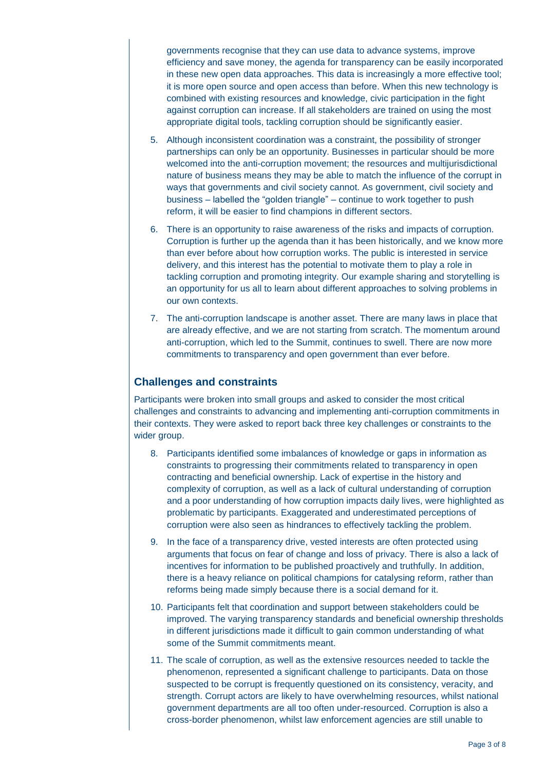governments recognise that they can use data to advance systems, improve efficiency and save money, the agenda for transparency can be easily incorporated in these new open data approaches. This data is increasingly a more effective tool; it is more open source and open access than before. When this new technology is combined with existing resources and knowledge, civic participation in the fight against corruption can increase. If all stakeholders are trained on using the most appropriate digital tools, tackling corruption should be significantly easier.

- 5. Although inconsistent coordination was a constraint, the possibility of stronger partnerships can only be an opportunity. Businesses in particular should be more welcomed into the anti-corruption movement; the resources and multijurisdictional nature of business means they may be able to match the influence of the corrupt in ways that governments and civil society cannot. As government, civil society and business – labelled the "golden triangle" – continue to work together to push reform, it will be easier to find champions in different sectors.
- 6. There is an opportunity to raise awareness of the risks and impacts of corruption. Corruption is further up the agenda than it has been historically, and we know more than ever before about how corruption works. The public is interested in service delivery, and this interest has the potential to motivate them to play a role in tackling corruption and promoting integrity. Our example sharing and storytelling is an opportunity for us all to learn about different approaches to solving problems in our own contexts.
- 7. The anti-corruption landscape is another asset. There are many laws in place that are already effective, and we are not starting from scratch. The momentum around anti-corruption, which led to the Summit, continues to swell. There are now more commitments to transparency and open government than ever before.

### **Challenges and constraints**

Participants were broken into small groups and asked to consider the most critical challenges and constraints to advancing and implementing anti-corruption commitments in their contexts. They were asked to report back three key challenges or constraints to the wider group.

- 8. Participants identified some imbalances of knowledge or gaps in information as constraints to progressing their commitments related to transparency in open contracting and beneficial ownership. Lack of expertise in the history and complexity of corruption, as well as a lack of cultural understanding of corruption and a poor understanding of how corruption impacts daily lives, were highlighted as problematic by participants. Exaggerated and underestimated perceptions of corruption were also seen as hindrances to effectively tackling the problem.
- 9. In the face of a transparency drive, vested interests are often protected using arguments that focus on fear of change and loss of privacy. There is also a lack of incentives for information to be published proactively and truthfully. In addition, there is a heavy reliance on political champions for catalysing reform, rather than reforms being made simply because there is a social demand for it.
- 10. Participants felt that coordination and support between stakeholders could be improved. The varying transparency standards and beneficial ownership thresholds in different jurisdictions made it difficult to gain common understanding of what some of the Summit commitments meant.
- 11. The scale of corruption, as well as the extensive resources needed to tackle the phenomenon, represented a significant challenge to participants. Data on those suspected to be corrupt is frequently questioned on its consistency, veracity, and strength. Corrupt actors are likely to have overwhelming resources, whilst national government departments are all too often under-resourced. Corruption is also a cross-border phenomenon, whilst law enforcement agencies are still unable to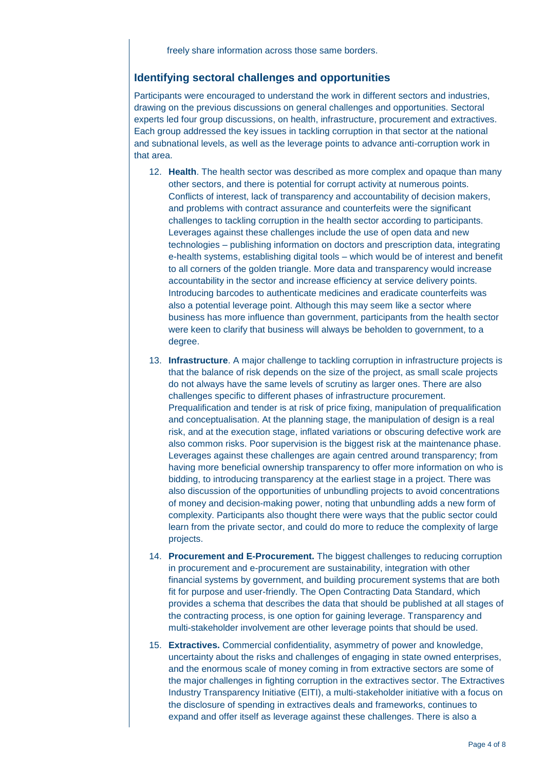#### **Identifying sectoral challenges and opportunities**

Participants were encouraged to understand the work in different sectors and industries, drawing on the previous discussions on general challenges and opportunities. Sectoral experts led four group discussions, on health, infrastructure, procurement and extractives. Each group addressed the key issues in tackling corruption in that sector at the national and subnational levels, as well as the leverage points to advance anti-corruption work in that area.

- 12. **Health**. The health sector was described as more complex and opaque than many other sectors, and there is potential for corrupt activity at numerous points. Conflicts of interest, lack of transparency and accountability of decision makers, and problems with contract assurance and counterfeits were the significant challenges to tackling corruption in the health sector according to participants. Leverages against these challenges include the use of open data and new technologies – publishing information on doctors and prescription data, integrating e-health systems, establishing digital tools – which would be of interest and benefit to all corners of the golden triangle. More data and transparency would increase accountability in the sector and increase efficiency at service delivery points. Introducing barcodes to authenticate medicines and eradicate counterfeits was also a potential leverage point. Although this may seem like a sector where business has more influence than government, participants from the health sector were keen to clarify that business will always be beholden to government, to a degree.
- 13. **Infrastructure**. A major challenge to tackling corruption in infrastructure projects is that the balance of risk depends on the size of the project, as small scale projects do not always have the same levels of scrutiny as larger ones. There are also challenges specific to different phases of infrastructure procurement. Prequalification and tender is at risk of price fixing, manipulation of prequalification and conceptualisation. At the planning stage, the manipulation of design is a real risk, and at the execution stage, inflated variations or obscuring defective work are also common risks. Poor supervision is the biggest risk at the maintenance phase. Leverages against these challenges are again centred around transparency; from having more beneficial ownership transparency to offer more information on who is bidding, to introducing transparency at the earliest stage in a project. There was also discussion of the opportunities of unbundling projects to avoid concentrations of money and decision-making power, noting that unbundling adds a new form of complexity. Participants also thought there were ways that the public sector could learn from the private sector, and could do more to reduce the complexity of large projects.
- 14. **Procurement and E-Procurement.** The biggest challenges to reducing corruption in procurement and e-procurement are sustainability, integration with other financial systems by government, and building procurement systems that are both fit for purpose and user-friendly. The Open Contracting Data Standard, which provides a schema that describes the data that should be published at all stages of the contracting process, is one option for gaining leverage. Transparency and multi-stakeholder involvement are other leverage points that should be used.
- 15. **Extractives.** Commercial confidentiality, asymmetry of power and knowledge, uncertainty about the risks and challenges of engaging in state owned enterprises, and the enormous scale of money coming in from extractive sectors are some of the major challenges in fighting corruption in the extractives sector. The Extractives Industry Transparency Initiative (EITI), a multi-stakeholder initiative with a focus on the disclosure of spending in extractives deals and frameworks, continues to expand and offer itself as leverage against these challenges. There is also a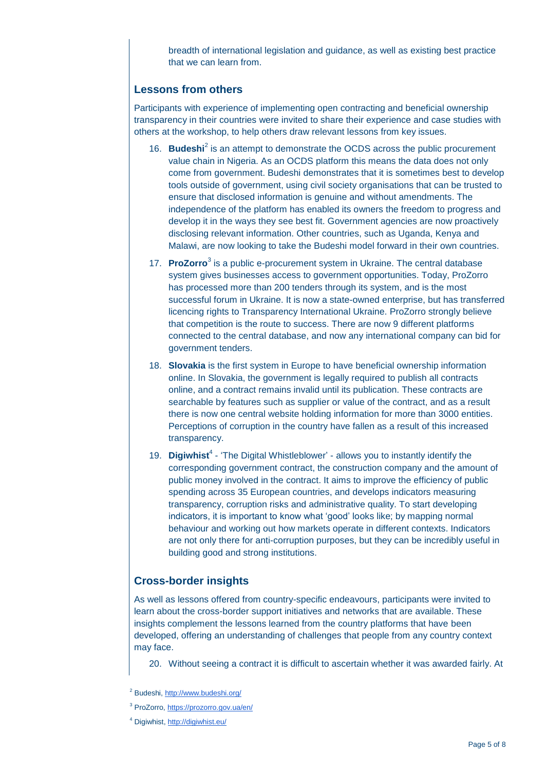breadth of international legislation and guidance, as well as existing best practice that we can learn from.

#### **Lessons from others**

Participants with experience of implementing open contracting and beneficial ownership transparency in their countries were invited to share their experience and case studies with others at the workshop, to help others draw relevant lessons from key issues.

- 16. **Budeshi**<sup>2</sup> is an attempt to demonstrate the OCDS across the public procurement value chain in Nigeria. As an OCDS platform this means the data does not only come from government. Budeshi demonstrates that it is sometimes best to develop tools outside of government, using civil society organisations that can be trusted to ensure that disclosed information is genuine and without amendments. The independence of the platform has enabled its owners the freedom to progress and develop it in the ways they see best fit. Government agencies are now proactively disclosing relevant information. Other countries, such as Uganda, Kenya and Malawi, are now looking to take the Budeshi model forward in their own countries.
- 17. **ProZorro**<sup>3</sup> is a public e-procurement system in Ukraine. The central database system gives businesses access to government opportunities. Today, ProZorro has processed more than 200 tenders through its system, and is the most successful forum in Ukraine. It is now a state-owned enterprise, but has transferred licencing rights to Transparency International Ukraine. ProZorro strongly believe that competition is the route to success. There are now 9 different platforms connected to the central database, and now any international company can bid for government tenders.
- 18. **Slovakia** is the first system in Europe to have beneficial ownership information online. In Slovakia, the government is legally required to publish all contracts online, and a contract remains invalid until its publication. These contracts are searchable by features such as supplier or value of the contract, and as a result there is now one central website holding information for more than 3000 entities. Perceptions of corruption in the country have fallen as a result of this increased transparency.
- 19. **Digiwhist<sup>4</sup>** 'The Digital Whistleblower' allows you to instantly identify the corresponding government contract, the construction company and the amount of public money involved in the contract. It aims to improve the efficiency of public spending across 35 European countries, and develops indicators measuring transparency, corruption risks and administrative quality. To start developing indicators, it is important to know what 'good' looks like; by mapping normal behaviour and working out how markets operate in different contexts. Indicators are not only there for anti-corruption purposes, but they can be incredibly useful in building good and strong institutions.

## **Cross-border insights**

As well as lessons offered from country-specific endeavours, participants were invited to learn about the cross-border support initiatives and networks that are available. These insights complement the lessons learned from the country platforms that have been developed, offering an understanding of challenges that people from any country context may face.

20. Without seeing a contract it is difficult to ascertain whether it was awarded fairly. At

<sup>4</sup> Digiwhist, <http://digiwhist.eu/>

<sup>2</sup> Budeshi, <http://www.budeshi.org/>

<sup>3</sup> ProZorro, <https://prozorro.gov.ua/en/>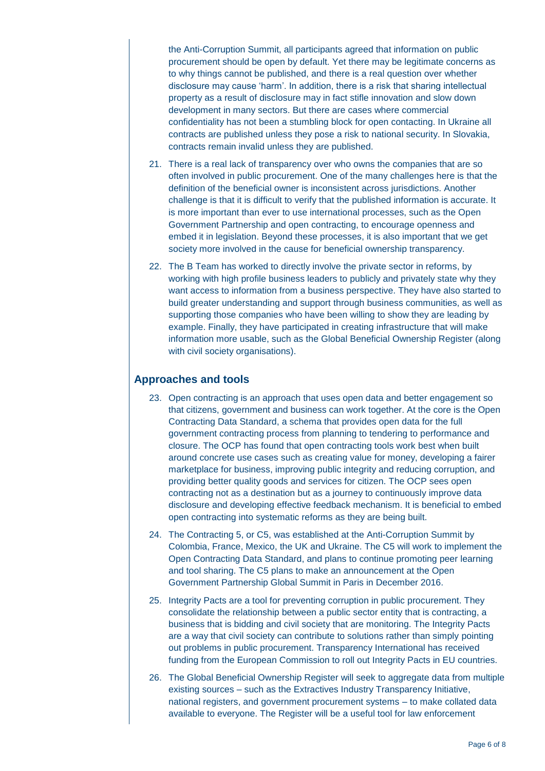the Anti-Corruption Summit, all participants agreed that information on public procurement should be open by default. Yet there may be legitimate concerns as to why things cannot be published, and there is a real question over whether disclosure may cause 'harm'. In addition, there is a risk that sharing intellectual property as a result of disclosure may in fact stifle innovation and slow down development in many sectors. But there are cases where commercial confidentiality has not been a stumbling block for open contacting. In Ukraine all contracts are published unless they pose a risk to national security. In Slovakia, contracts remain invalid unless they are published.

- 21. There is a real lack of transparency over who owns the companies that are so often involved in public procurement. One of the many challenges here is that the definition of the beneficial owner is inconsistent across jurisdictions. Another challenge is that it is difficult to verify that the published information is accurate. It is more important than ever to use international processes, such as the Open Government Partnership and open contracting, to encourage openness and embed it in legislation. Beyond these processes, it is also important that we get society more involved in the cause for beneficial ownership transparency.
- 22. The B Team has worked to directly involve the private sector in reforms, by working with high profile business leaders to publicly and privately state why they want access to information from a business perspective. They have also started to build greater understanding and support through business communities, as well as supporting those companies who have been willing to show they are leading by example. Finally, they have participated in creating infrastructure that will make information more usable, such as the Global Beneficial Ownership Register (along with civil society organisations).

### **Approaches and tools**

- 23. Open contracting is an approach that uses open data and better engagement so that citizens, government and business can work together. At the core is the Open Contracting Data Standard, a schema that provides open data for the full government contracting process from planning to tendering to performance and closure. The OCP has found that open contracting tools work best when built around concrete use cases such as creating value for money, developing a fairer marketplace for business, improving public integrity and reducing corruption, and providing better quality goods and services for citizen. The OCP sees open contracting not as a destination but as a journey to continuously improve data disclosure and developing effective feedback mechanism. It is beneficial to embed open contracting into systematic reforms as they are being built.
- 24. The Contracting 5, or C5, was established at the Anti-Corruption Summit by Colombia, France, Mexico, the UK and Ukraine. The C5 will work to implement the Open Contracting Data Standard, and plans to continue promoting peer learning and tool sharing. The C5 plans to make an announcement at the Open Government Partnership Global Summit in Paris in December 2016.
- 25. Integrity Pacts are a tool for preventing corruption in public procurement. They consolidate the relationship between a public sector entity that is contracting, a business that is bidding and civil society that are monitoring. The Integrity Pacts are a way that civil society can contribute to solutions rather than simply pointing out problems in public procurement. Transparency International has received funding from the European Commission to roll out Integrity Pacts in EU countries.
- 26. The Global Beneficial Ownership Register will seek to aggregate data from multiple existing sources – such as the Extractives Industry Transparency Initiative, national registers, and government procurement systems – to make collated data available to everyone. The Register will be a useful tool for law enforcement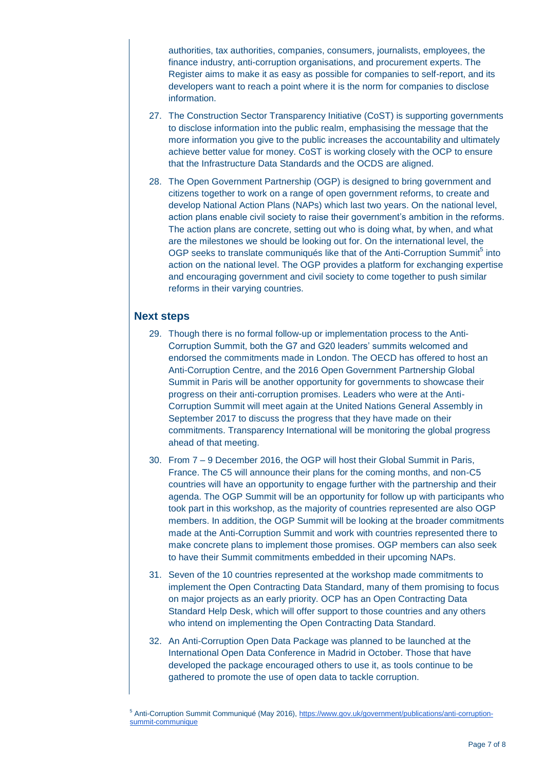authorities, tax authorities, companies, consumers, journalists, employees, the finance industry, anti-corruption organisations, and procurement experts. The Register aims to make it as easy as possible for companies to self-report, and its developers want to reach a point where it is the norm for companies to disclose information.

- 27. The Construction Sector Transparency Initiative (CoST) is supporting governments to disclose information into the public realm, emphasising the message that the more information you give to the public increases the accountability and ultimately achieve better value for money. CoST is working closely with the OCP to ensure that the Infrastructure Data Standards and the OCDS are aligned.
- 28. The Open Government Partnership (OGP) is designed to bring government and citizens together to work on a range of open government reforms, to create and develop National Action Plans (NAPs) which last two years. On the national level, action plans enable civil society to raise their government's ambition in the reforms. The action plans are concrete, setting out who is doing what, by when, and what are the milestones we should be looking out for. On the international level, the OGP seeks to translate communiqués like that of the Anti-Corruption Summit<sup>5</sup> into action on the national level. The OGP provides a platform for exchanging expertise and encouraging government and civil society to come together to push similar reforms in their varying countries.

#### **Next steps**

- 29. Though there is no formal follow-up or implementation process to the Anti-Corruption Summit, both the G7 and G20 leaders' summits welcomed and endorsed the commitments made in London. The OECD has offered to host an Anti-Corruption Centre, and the 2016 Open Government Partnership Global Summit in Paris will be another opportunity for governments to showcase their progress on their anti-corruption promises. Leaders who were at the Anti-Corruption Summit will meet again at the United Nations General Assembly in September 2017 to discuss the progress that they have made on their commitments. Transparency International will be monitoring the global progress ahead of that meeting.
- 30. From 7 9 December 2016, the OGP will host their Global Summit in Paris, France. The C5 will announce their plans for the coming months, and non-C5 countries will have an opportunity to engage further with the partnership and their agenda. The OGP Summit will be an opportunity for follow up with participants who took part in this workshop, as the majority of countries represented are also OGP members. In addition, the OGP Summit will be looking at the broader commitments made at the Anti-Corruption Summit and work with countries represented there to make concrete plans to implement those promises. OGP members can also seek to have their Summit commitments embedded in their upcoming NAPs.
- 31. Seven of the 10 countries represented at the workshop made commitments to implement the Open Contracting Data Standard, many of them promising to focus on major projects as an early priority. OCP has an Open Contracting Data Standard Help Desk, which will offer support to those countries and any others who intend on implementing the Open Contracting Data Standard.
- 32. An Anti-Corruption Open Data Package was planned to be launched at the International Open Data Conference in Madrid in October. Those that have developed the package encouraged others to use it, as tools continue to be gathered to promote the use of open data to tackle corruption.

<sup>&</sup>lt;sup>5</sup> Anti-Corruption Summit Communiqué (May 2016), [https://www.gov.uk/government/publications/anti-corruption](https://www.gov.uk/government/publications/anti-corruption-summit-communique)[summit-communique](https://www.gov.uk/government/publications/anti-corruption-summit-communique)